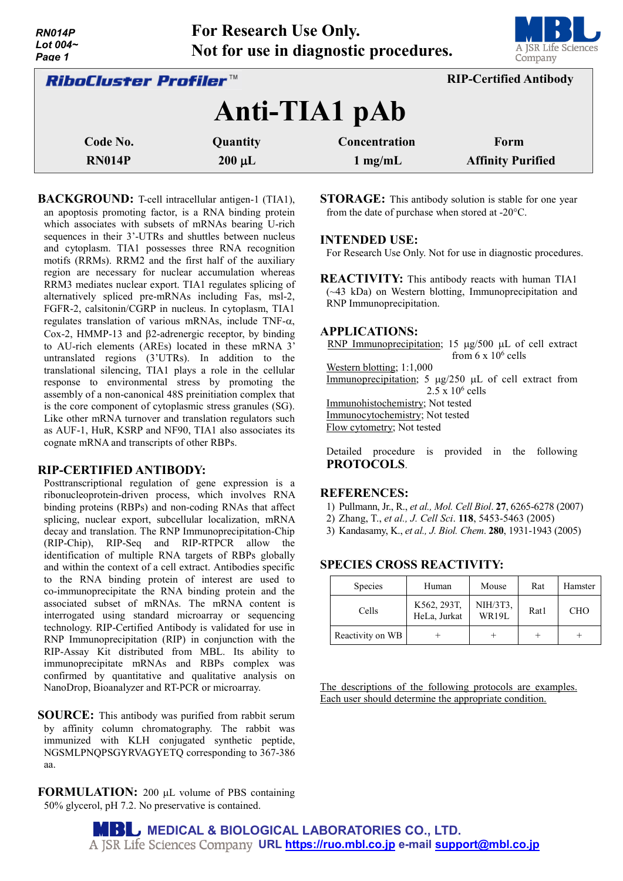| ,,,,,,,,,<br>Lot $004-$<br>Page 1                             | The Increation Cac Omly.<br>Not for use in diagnostic procedures. | $\overline{\phantom{a}}$<br>A JSR Life Sciences<br>Company |                                  |  |  |  |
|---------------------------------------------------------------|-------------------------------------------------------------------|------------------------------------------------------------|----------------------------------|--|--|--|
| <b>RIP-Certified Antibody</b><br><i>RiboCluster Profiler™</i> |                                                                   |                                                            |                                  |  |  |  |
|                                                               |                                                                   | Anti-TIA1 pAb                                              |                                  |  |  |  |
| Code No.<br><b>RN014P</b>                                     | Quantity<br>$200 \mu L$                                           | Concentration<br>$1$ mg/mL                                 | Form<br><b>Affinity Purified</b> |  |  |  |

**For Research Use Only.**

**BACKGROUND:** T-cell intracellular antigen-1 (TIA1), an apoptosis promoting factor, is a RNA binding protein which associates with subsets of mRNAs bearing U-rich sequences in their 3'-UTRs and shuttles between nucleus and cytoplasm. TIA1 possesses three RNA recognition motifs (RRMs). RRM2 and the first half of the auxiliary region are necessary for nuclear accumulation whereas RRM3 mediates nuclear export. TIA1 regulates splicing of alternatively spliced pre-mRNAs including Fas, msl-2, FGFR-2, calsitonin/CGRP in nucleus. In cytoplasm, TIA1 regulates translation of various mRNAs, include TNF-α, Cox-2, HMMP-13 and β2-adrenergic receptor, by binding to AU-rich elements (AREs) located in these mRNA 3' untranslated regions (3'UTRs). In addition to the translational silencing, TIA1 plays a role in the cellular response to environmental stress by promoting the assembly of a non-canonical 48S preinitiation complex that is the core component of cytoplasmic stress granules (SG). Like other mRNA turnover and translation regulators such as AUF-1, HuR, KSRP and NF90, TIA1 also associates its cognate mRNA and transcripts of other RBPs.

## **RIP-CERTIFIED ANTIBODY:**

*RN014P*

Posttranscriptional regulation of gene expression is a ribonucleoprotein-driven process, which involves RNA binding proteins (RBPs) and non-coding RNAs that affect splicing, nuclear export, subcellular localization, mRNA decay and translation. The RNP Immunoprecipitation-Chip (RIP-Chip), RIP-Seq and RIP-RTPCR allow the identification of multiple RNA targets of RBPs globally and within the context of a cell extract. Antibodies specific to the RNA binding protein of interest are used to co-immunoprecipitate the RNA binding protein and the associated subset of mRNAs. The mRNA content is interrogated using standard microarray or sequencing technology. RIP-Certified Antibody is validated for use in RNP Immunoprecipitation (RIP) in conjunction with the RIP-Assay Kit distributed from MBL. Its ability to immunoprecipitate mRNAs and RBPs complex was confirmed by quantitative and qualitative analysis on NanoDrop, Bioanalyzer and RT-PCR or microarray.

**SOURCE:** This antibody was purified from rabbit serum by affinity column chromatography. The rabbit was immunized with KLH conjugated synthetic peptide, NGSMLPNQPSGYRVAGYETQ corresponding to 367-386 aa.

**FORMULATION:** 200 µL volume of PBS containing 50% glycerol, pH 7.2. No preservative is contained.

**STORAGE:** This antibody solution is stable for one year from the date of purchase when stored at -20°C.

## **INTENDED USE:**

For Research Use Only. Not for use in diagnostic procedures.

**REACTIVITY:** This antibody reacts with human TIA1 (~43 kDa) on Western blotting, Immunoprecipitation and RNP Immunoprecipitation.

#### **APPLICATIONS:**

RNP Immunoprecipitation; 15 µg/500 µL of cell extract from  $6 \times 10^6$  cells

Western blotting; 1:1,000

Immunoprecipitation; 5 µg/250 µL of cell extract from  $2.5 \times 10^6$  cells Immunohistochemistry; Not tested

Immunocytochemistry; Not tested

Flow cytometry; Not tested

Detailed procedure is provided in the following **PROTOCOLS**.

#### **REFERENCES:**

- 1) Pullmann, Jr., R., *et al., Mol. Cell Biol*. **27**, 6265-6278 (2007)
- 2) Zhang, T., *et al., J. Cell Sci*. **118**, 5453-5463 (2005)
- 3) Kandasamy, K., *et al., J. Biol. Chem*. **280**, 1931-1943 (2005)

## **SPECIES CROSS REACTIVITY:**

| <b>Species</b>   | Human                       | Mouse                    | Rat  | Hamster    |
|------------------|-----------------------------|--------------------------|------|------------|
| Cells            | K562, 293T,<br>HeLa, Jurkat | NIH/3T3,<br><b>WR19L</b> | Rat1 | <b>CHO</b> |
| Reactivity on WB |                             |                          |      |            |

The descriptions of the following protocols are examples. Each user should determine the appropriate condition.

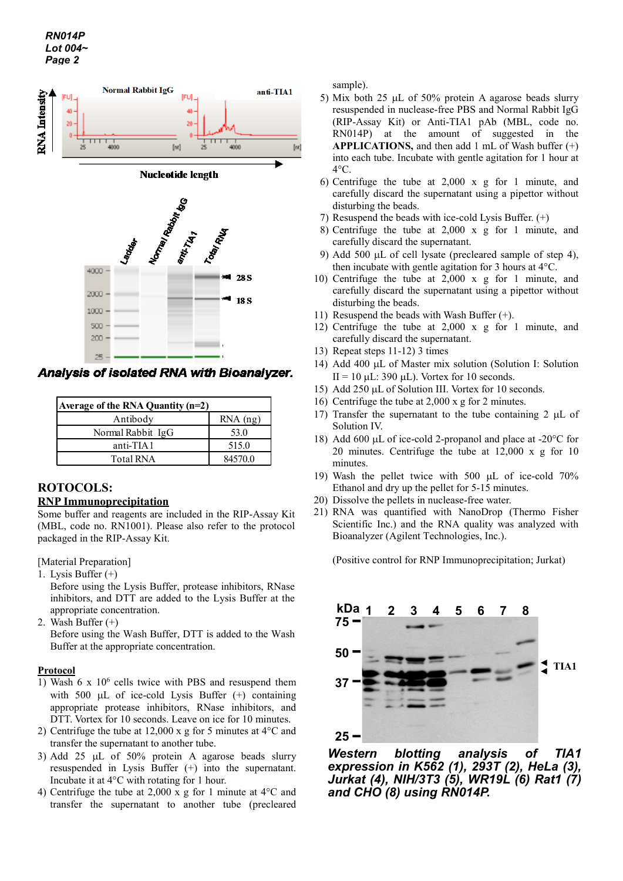

Analysis of isolated RNA with Bioanalyzer.

| Average of the RNA Quantity $(n=2)$ |            |  |  |  |
|-------------------------------------|------------|--|--|--|
| Antibody                            | $RNA$ (ng) |  |  |  |
| Normal Rabbit IgG                   | 53.0       |  |  |  |
| anti-TIA1                           | 515.0      |  |  |  |
| <b>Total RNA</b>                    | 84570.0    |  |  |  |

# **ROTOCOLS: RNP Immunoprecipitation**

Some buffer and reagents are included in the RIP-Assay Kit (MBL, code no. RN1001). Please also refer to the protocol packaged in the RIP-Assay Kit.

[Material Preparation]

1. Lysis Buffer (+)

Before using the Lysis Buffer, protease inhibitors, RNase inhibitors, and DTT are added to the Lysis Buffer at the appropriate concentration.

2. Wash Buffer (+)

Before using the Wash Buffer, DTT is added to the Wash Buffer at the appropriate concentration.

## **Protocol**

- 1) Wash 6 x  $10^6$  cells twice with PBS and resuspend them with 500  $\mu$ L of ice-cold Lysis Buffer  $(+)$  containing appropriate protease inhibitors, RNase inhibitors, and DTT. Vortex for 10 seconds. Leave on ice for 10 minutes.
- 2) Centrifuge the tube at 12,000 x g for 5 minutes at 4°C and transfer the supernatant to another tube.
- 3) Add 25 µL of 50% protein A agarose beads slurry resuspended in Lysis Buffer (+) into the supernatant. Incubate it at 4°C with rotating for 1 hour.
- 4) Centrifuge the tube at 2,000 x g for 1 minute at 4°C and transfer the supernatant to another tube (precleared

sample).

- 5) Mix both 25 µL of 50% protein A agarose beads slurry resuspended in nuclease-free PBS and Normal Rabbit IgG (RIP-Assay Kit) or Anti-TIA1 pAb (MBL, code no. RN014P) at the amount of suggested in the **APPLICATIONS,** and then add 1 mL of Wash buffer (+) into each tube. Incubate with gentle agitation for 1 hour at 4°C.
- 6) Centrifuge the tube at 2,000 x g for 1 minute, and carefully discard the supernatant using a pipettor without disturbing the beads.
- 7) Resuspend the beads with ice-cold Lysis Buffer. (+)
- 8) Centrifuge the tube at 2,000 x g for 1 minute, and carefully discard the supernatant.
- 9) Add 500 µL of cell lysate (precleared sample of step 4), then incubate with gentle agitation for 3 hours at 4°C.
- 10) Centrifuge the tube at 2,000 x g for 1 minute, and carefully discard the supernatant using a pipettor without disturbing the beads.
- 11) Resuspend the beads with Wash Buffer (+).
- 12) Centrifuge the tube at 2,000 x g for 1 minute, and carefully discard the supernatant.
- 13) Repeat steps 11-12) 3 times
- 14) Add 400 µL of Master mix solution (Solution I: Solution  $II = 10$   $\mu$ L: 390  $\mu$ L). Vortex for 10 seconds.
- 15) Add 250 µL of Solution III. Vortex for 10 seconds.
- 16) Centrifuge the tube at 2,000 x g for 2 minutes.
- 17) Transfer the supernatant to the tube containing 2 uL of Solution IV.
- 18) Add 600 µL of ice-cold 2-propanol and place at -20°C for 20 minutes. Centrifuge the tube at 12,000 x g for 10 minutes.
- 19) Wash the pellet twice with 500 µL of ice-cold 70% Ethanol and dry up the pellet for 5-15 minutes.
- 20) Dissolve the pellets in nuclease-free water.
- 21) RNA was quantified with NanoDrop (Thermo Fisher Scientific Inc.) and the RNA quality was analyzed with Bioanalyzer (Agilent Technologies, Inc.).

(Positive control for RNP Immunoprecipitation; Jurkat)



*Western blotting analysis of TIA1 expression in K562 (1), 293T (2), HeLa (3), Jurkat (4), NIH/3T3 (5), WR19L (6) Rat1 (7) and CHO (8) using RN014P.*